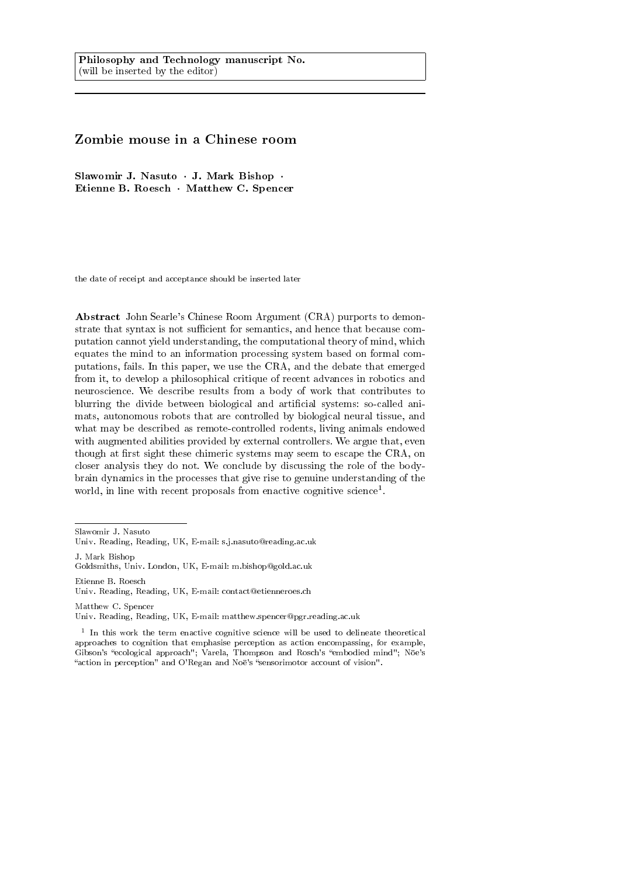# Zombie mouse in a Chinese room

Slawomir J. Nasuto · J. Mark Bishop · Etienne B. Roesch · Matthew C. Spencer

the date of receipt and acceptance should be inserted later

Abstract John Searle's Chinese Room Argument (CRA) purports to demonstrate that syntax is not sufficient for semantics, and hence that because computation cannot yield understanding, the computational theory of mind, which equates the mind to an information processing system based on formal computations, fails. In this paper, we use the CRA, and the debate that emerged from it, to develop a philosophical critique of recent advances in robotics and neuroscience. We describe results from a body of work that contributes to blurring the divide between biological and artificial systems: so-called animats, autonomous robots that are controlled by biological neural tissue, and what may be described as remote-controlled rodents, living animals endowed with augmented abilities provided by external controllers. We argue that, even though at first sight these chimeric systems may seem to escape the CRA, on closer analysis they do not. We conclude by discussing the role of the bodybrain dynamics in the processes that give rise to genuine understanding of the world, in line with recent proposals from enactive cognitive science<sup>1</sup>.

Slawomir J. Nasuto

J. Mark Bishop

Etienne B. Roesch Univ. Reading, Reading, UK, E-mail: contact@etienneroes.ch

Matthew C. Spencer

Univ. Reading, Reading, UK, E-mail: matthew.spencer@pgr.reading.ac.uk

<sup>1</sup> In this work the term enactive cognitive science will be used to delineate theoretical approaches to cognition that emphasise perception as action encompassing, for example, Gibson's "ecological approach"; Varela, Thompson and Rosch's "embodied mind"; Nöe's "action in perception" and O'Regan and Noë's "sensorimotor account of vision".

Univ. Reading, Reading, UK, E-mail: s.j.nasuto@reading.ac.uk

Goldsmiths, Univ. London, UK, E-mail: m.bishop@gold.ac.uk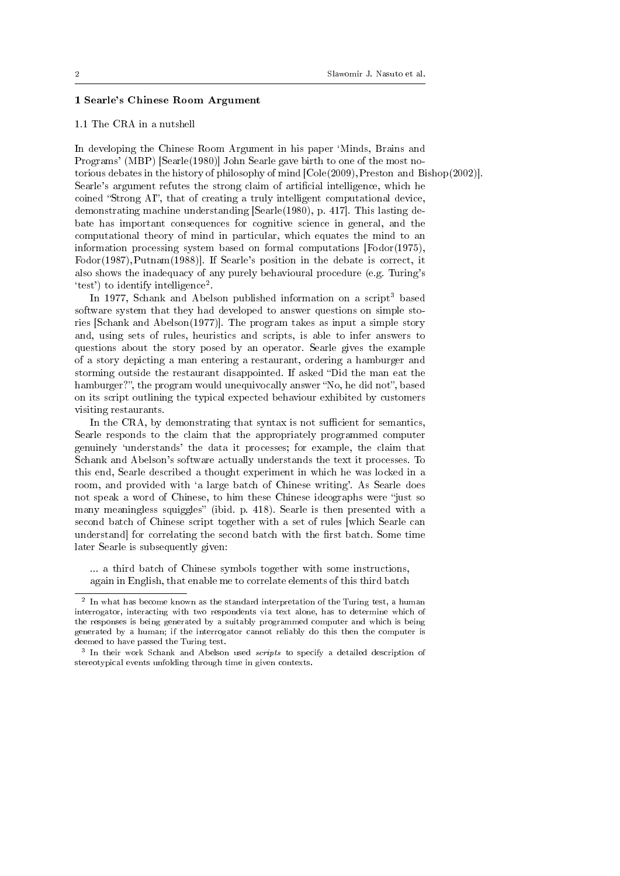## 1 Searle's Chinese Room Argument

#### 1.1 The CRA in a nutshell

In developing the Chinese Room Argument in his paper `Minds, Brains and Programs' (MBP) [Searle(1980)] John Searle gave birth to one of the most notorious debates in the history of philosophy of mind  $[Cole(2009),$  Preston and Bishop(2002)]. Searle's argument refutes the strong claim of artificial intelligence, which he coined "Strong AI", that of creating a truly intelligent computational device, demonstrating machine understanding [Searle(1980), p. 417]. This lasting debate has important consequences for cognitive science in general, and the computational theory of mind in particular, which equates the mind to an information processing system based on formal computations [Fodor(1975), Fodor(1987),Putnam(1988)]. If Searle's position in the debate is correct, it also shows the inadequacy of any purely behavioural procedure (e.g. Turing's 'test') to identify intelligence<sup>2</sup>.

In 1977, Schank and Abelson published information on a script<sup>3</sup> based software system that they had developed to answer questions on simple stories [Schank and Abelson(1977)]. The program takes as input a simple story and, using sets of rules, heuristics and scripts, is able to infer answers to questions about the story posed by an operator. Searle gives the example of a story depicting a man entering a restaurant, ordering a hamburger and storming outside the restaurant disappointed. If asked "Did the man eat the hamburger?", the program would unequivocally answer "No, he did not", based on its script outlining the typical expected behaviour exhibited by customers visiting restaurants.

In the CRA, by demonstrating that syntax is not sufficient for semantics, Searle responds to the claim that the appropriately programmed computer genuinely `understands' the data it processes; for example, the claim that Schank and Abelson's software actually understands the text it processes. To this end, Searle described a thought experiment in which he was locked in a room, and provided with `a large batch of Chinese writing'. As Searle does not speak a word of Chinese, to him these Chinese ideographs were "just so many meaningless squiggles" (ibid. p.  $418$ ). Searle is then presented with a second batch of Chinese script together with a set of rules [which Searle can understand] for correlating the second batch with the first batch. Some time later Searle is subsequently given:

... a third batch of Chinese symbols together with some instructions, again in English, that enable me to correlate elements of this third batch

 $^2$  In what has become known as the standard interpretation of the Turing test, a human interrogator, interacting with two respondents via text alone, has to determine which of the responses is being generated by a suitably programmed computer and which is being generated by a human; if the interrogator cannot reliably do this then the computer is deemed to have passed the Turing test.

<sup>&</sup>lt;sup>3</sup> In their work Schank and Abelson used *scripts* to specify a detailed description of stereotypical events unfolding through time in given contexts.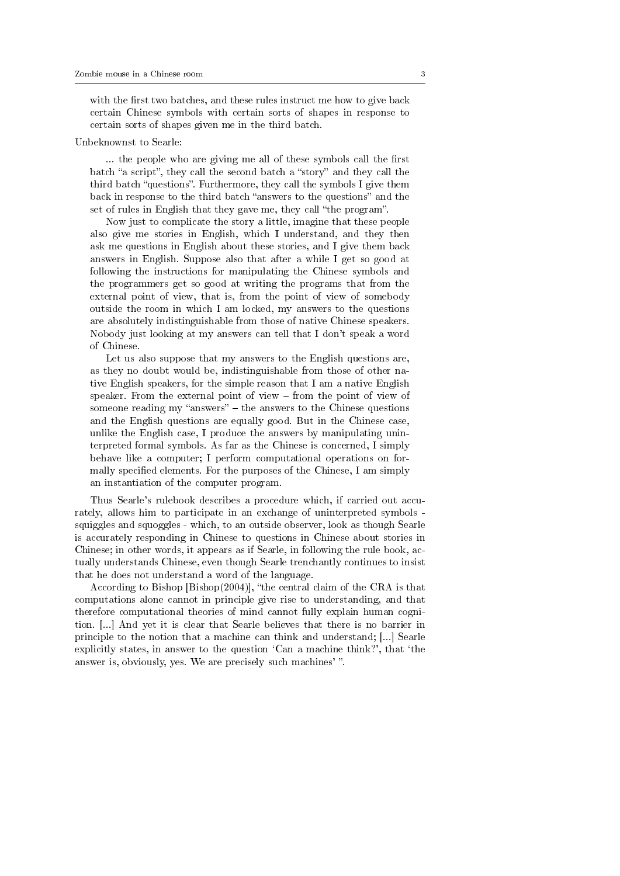with the first two batches, and these rules instruct me how to give back certain Chinese symbols with certain sorts of shapes in response to certain sorts of shapes given me in the third batch.

#### Unbeknownst to Searle:

 $\ldots$  the people who are giving me all of these symbols call the first batch "a script", they call the second batch a "story" and they call the third batch "questions". Furthermore, they call the symbols I give them back in response to the third batch "answers to the questions" and the set of rules in English that they gave me, they call "the program".

Now just to complicate the story a little, imagine that these people also give me stories in English, which I understand, and they then ask me questions in English about these stories, and I give them back answers in English. Suppose also that after a while I get so good at following the instructions for manipulating the Chinese symbols and the programmers get so good at writing the programs that from the external point of view, that is, from the point of view of somebody outside the room in which I am locked, my answers to the questions are absolutely indistinguishable from those of native Chinese speakers. Nobody just looking at my answers can tell that I don't speak a word of Chinese.

Let us also suppose that my answers to the English questions are, as they no doubt would be, indistinguishable from those of other native English speakers, for the simple reason that I am a native English speaker. From the external point of view  $-$  from the point of view of someone reading my "answers"  $-$  the answers to the Chinese questions and the English questions are equally good. But in the Chinese case, unlike the English case, I produce the answers by manipulating uninterpreted formal symbols. As far as the Chinese is concerned, I simply behave like a computer; I perform computational operations on formally specified elements. For the purposes of the Chinese, I am simply an instantiation of the computer program.

Thus Searle's rulebook describes a procedure which, if carried out accurately, allows him to participate in an exchange of uninterpreted symbols squiggles and squoggles - which, to an outside observer, look as though Searle is accurately responding in Chinese to questions in Chinese about stories in Chinese; in other words, it appears as if Searle, in following the rule book, actually understands Chinese, even though Searle trenchantly continues to insist that he does not understand a word of the language.

According to Bishop  $[Bishop(2004)]$ , "the central claim of the CRA is that computations alone cannot in principle give rise to understanding, and that therefore computational theories of mind cannot fully explain human cognition. [...] And yet it is clear that Searle believes that there is no barrier in principle to the notion that a machine can think and understand; [...] Searle explicitly states, in answer to the question 'Can a machine think?', that 'the answer is, obviously, yes. We are precisely such machines'".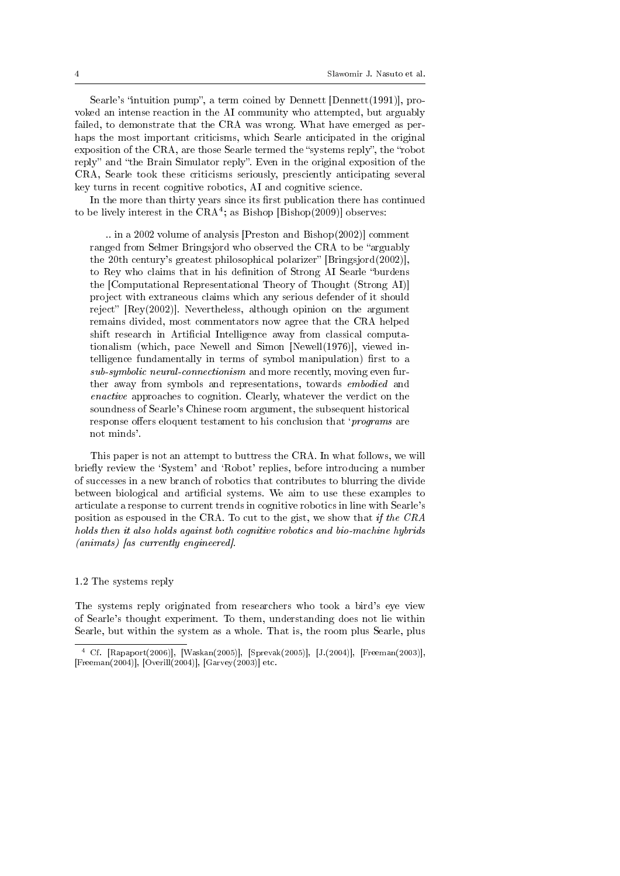Searle's "intuition pump", a term coined by Dennett [Dennett(1991)], provoked an intense reaction in the AI community who attempted, but arguably failed, to demonstrate that the CRA was wrong. What have emerged as perhaps the most important criticisms, which Searle anticipated in the original exposition of the CRA, are those Searle termed the "systems reply", the "robot reply" and "the Brain Simulator reply". Even in the original exposition of the CRA, Searle took these criticisms seriously, presciently anticipating several key turns in recent cognitive robotics, AI and cognitive science.

In the more than thirty years since its first publication there has continued to be lively interest in the  $CRA^4$ ; as Bishop [Bishop(2009)] observes:

.. in a 2002 volume of analysis [Preston and Bishop(2002)] comment ranged from Selmer Bringsjord who observed the CRA to be "arguably" the 20th century's greatest philosophical polarizer" [Bringsjord $(2002)$ ], to Rey who claims that in his definition of Strong AI Searle "burdens the [Computational Representational Theory of Thought (Strong AI)] project with extraneous claims which any serious defender of it should reject"  $[Rey(2002)]$ . Nevertheless, although opinion on the argument remains divided, most commentators now agree that the CRA helped shift research in Artificial Intelligence away from classical computationalism (which, pace Newell and Simon [Newell(1976)], viewed intelligence fundamentally in terms of symbol manipulation) first to a sub-symbolic neural-connectionism and more recently, moving even further away from symbols and representations, towards embodied and enactive approaches to cognition. Clearly, whatever the verdict on the soundness of Searle's Chinese room argument, the subsequent historical response offers eloquent testament to his conclusion that '*programs* are not minds'.

This paper is not an attempt to buttress the CRA. In what follows, we will briefly review the 'System' and 'Robot' replies, before introducing a number of successes in a new branch of robotics that contributes to blurring the divide between biological and artificial systems. We aim to use these examples to articulate a response to current trends in cognitive robotics in line with Searle's position as espoused in the CRA. To cut to the gist, we show that if the CRA holds then it also holds against both cognitive robotics and bio-machine hybrids (animats) [as currently engineered].

# 1.2 The systems reply

The systems reply originated from researchers who took a bird's eye view of Searle's thought experiment. To them, understanding does not lie within Searle, but within the system as a whole. That is, the room plus Searle, plus

<sup>4</sup> Cf. [Rapaport(2006)], [Waskan(2005)], [Sprevak(2005)], [J.(2004)], [Freeman(2003)], [Freeman(2004)], [Overill(2004)], [Garvey(2003)] etc.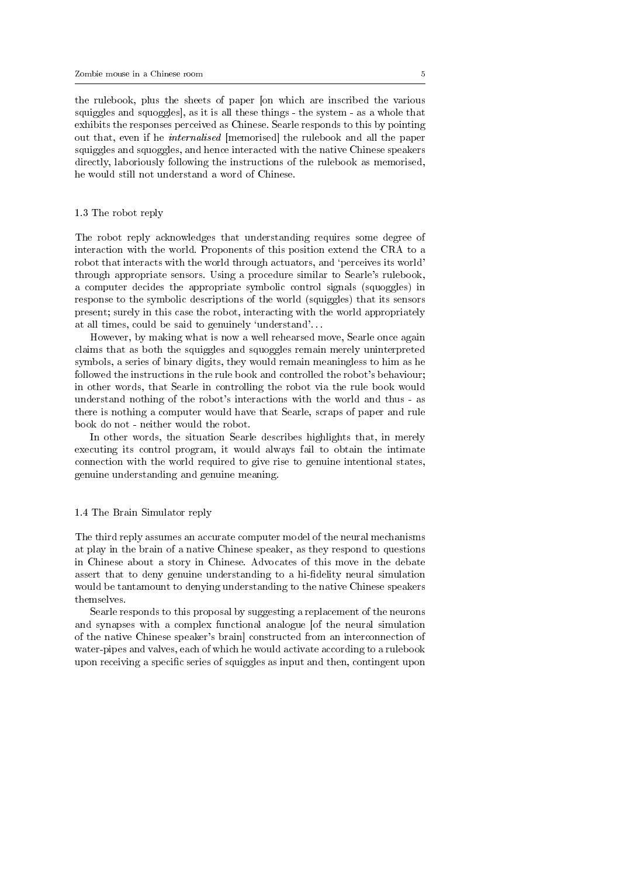the rulebook, plus the sheets of paper [on which are inscribed the various squiggles and squoggles], as it is all these things - the system - as a whole that exhibits the responses perceived as Chinese. Searle responds to this by pointing out that, even if he internalised [memorised] the rulebook and all the paper squiggles and squoggles, and hence interacted with the native Chinese speakers directly, laboriously following the instructions of the rulebook as memorised, he would still not understand a word of Chinese.

## 1.3 The robot reply

The robot reply acknowledges that understanding requires some degree of interaction with the world. Proponents of this position extend the CRA to a robot that interacts with the world through actuators, and `perceives its world' through appropriate sensors. Using a procedure similar to Searle's rulebook, a computer decides the appropriate symbolic control signals (squoggles) in response to the symbolic descriptions of the world (squiggles) that its sensors present; surely in this case the robot, interacting with the world appropriately at all times, could be said to genuinely 'understand'...

However, by making what is now a well rehearsed move, Searle once again claims that as both the squiggles and squoggles remain merely uninterpreted symbols, a series of binary digits, they would remain meaningless to him as he followed the instructions in the rule book and controlled the robot's behaviour; in other words, that Searle in controlling the robot via the rule book would understand nothing of the robot's interactions with the world and thus - as there is nothing a computer would have that Searle, scraps of paper and rule book do not - neither would the robot.

In other words, the situation Searle describes highlights that, in merely executing its control program, it would always fail to obtain the intimate connection with the world required to give rise to genuine intentional states, genuine understanding and genuine meaning.

### 1.4 The Brain Simulator reply

The third reply assumes an accurate computer model of the neural mechanisms at play in the brain of a native Chinese speaker, as they respond to questions in Chinese about a story in Chinese. Advocates of this move in the debate assert that to deny genuine understanding to a hi-delity neural simulation would be tantamount to denying understanding to the native Chinese speakers themselves.

Searle responds to this proposal by suggesting a replacement of the neurons and synapses with a complex functional analogue [of the neural simulation of the native Chinese speaker's brain] constructed from an interconnection of water-pipes and valves, each of which he would activate according to a rulebook upon receiving a specific series of squiggles as input and then, contingent upon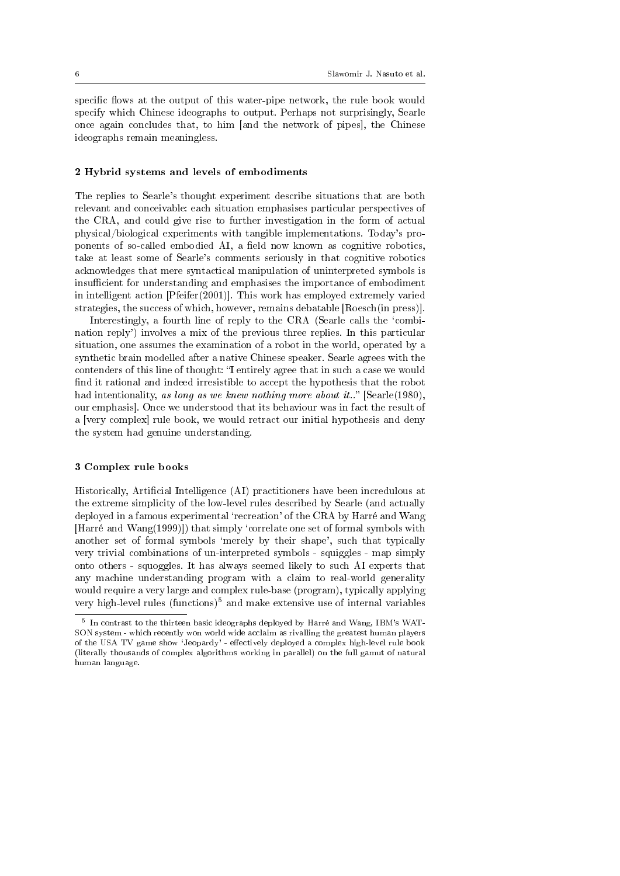specific flows at the output of this water-pipe network, the rule book would specify which Chinese ideographs to output. Perhaps not surprisingly, Searle once again concludes that, to him [and the network of pipes], the Chinese ideographs remain meaningless.

## 2 Hybrid systems and levels of embodiments

The replies to Searle's thought experiment describe situations that are both relevant and conceivable: each situation emphasises particular perspectives of the CRA, and could give rise to further investigation in the form of actual physical/biological experiments with tangible implementations. Today's proponents of so-called embodied AI, a field now known as cognitive robotics, take at least some of Searle's comments seriously in that cognitive robotics acknowledges that mere syntactical manipulation of uninterpreted symbols is insufficient for understanding and emphasises the importance of embodiment in intelligent action [Pfeifer(2001)]. This work has employed extremely varied strategies, the success of which, however, remains debatable [Roesch(in press)].

Interestingly, a fourth line of reply to the CRA (Searle calls the 'combination reply') involves a mix of the previous three replies. In this particular situation, one assumes the examination of a robot in the world, operated by a synthetic brain modelled after a native Chinese speaker. Searle agrees with the contenders of this line of thought: "I entirely agree that in such a case we would find it rational and indeed irresistible to accept the hypothesis that the robot had intentionality, as long as we knew nothing more about it.."  $[Search(1980)$ , our emphasis]. Once we understood that its behaviour was in fact the result of a [very complex] rule book, we would retract our initial hypothesis and deny the system had genuine understanding.

## 3 Complex rule books

Historically, Artificial Intelligence (AI) practitioners have been incredulous at the extreme simplicity of the low-level rules described by Searle (and actually deployed in a famous experimental 'recreation' of the CRA by Harré and Wang [Harré and Wang(1999)]) that simply 'correlate one set of formal symbols with another set of formal symbols 'merely by their shape', such that typically very trivial combinations of un-interpreted symbols - squiggles - map simply onto others - squoggles. It has always seemed likely to such AI experts that any machine understanding program with a claim to real-world generality would require a very large and complex rule-base (program), typically applying very high-level rules (functions)<sup>5</sup> and make extensive use of internal variables

<sup>5</sup> In contrast to the thirteen basic ideographs deployed by Harré and Wang, IBM's WAT-SON system - which recently won world wide acclaim as rivalling the greatest human players of the USA TV game show 'Jeopardy' - effectively deployed a complex high-level rule book (literally thousands of complex algorithms working in parallel) on the full gamut of natural human language.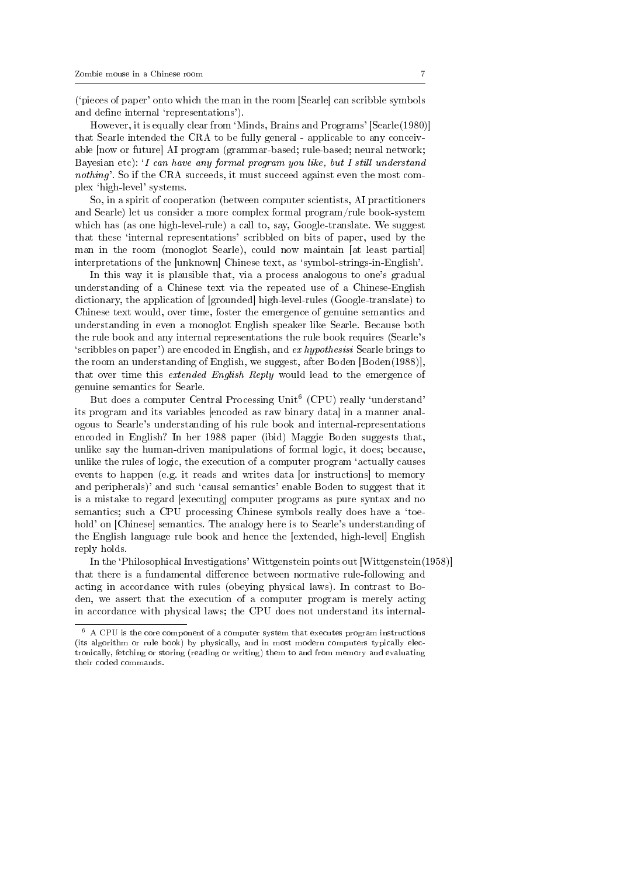(`pieces of paper' onto which the man in the room [Searle] can scribble symbols and define internal 'representations').

However, it is equally clear from `Minds, Brains and Programs' [Searle(1980)] that Searle intended the CRA to be fully general - applicable to any conceivable [now or future] AI program (grammar-based; rule-based; neural network; Bayesian etc): `I can have any formal program you like, but I still understand nothing'. So if the CRA succeeds, it must succeed against even the most complex `high-level' systems.

So, in a spirit of cooperation (between computer scientists, AI practitioners and Searle) let us consider a more complex formal program/rule book-system which has (as one high-level-rule) a call to, say, Google-translate. We suggest that these 'internal representations' scribbled on bits of paper, used by the man in the room (monoglot Searle), could now maintain [at least partial] interpretations of the [unknown] Chinese text, as 'symbol-strings-in-English'.

In this way it is plausible that, via a process analogous to one's gradual understanding of a Chinese text via the repeated use of a Chinese-English dictionary, the application of [grounded] high-level-rules (Google-translate) to Chinese text would, over time, foster the emergence of genuine semantics and understanding in even a monoglot English speaker like Searle. Because both the rule book and any internal representations the rule book requires (Searle's `scribbles on paper') are encoded in English, and ex hypothesisi Searle brings to the room an understanding of English, we suggest, after Boden [Boden(1988)], that over time this extended English Reply would lead to the emergence of genuine semantics for Searle.

But does a computer Central Processing Unit<sup>6</sup> (CPU) really 'understand' its program and its variables [encoded as raw binary data] in a manner analogous to Searle's understanding of his rule book and internal-representations encoded in English? In her 1988 paper (ibid) Maggie Boden suggests that, unlike say the human-driven manipulations of formal logic, it does; because, unlike the rules of logic, the execution of a computer program 'actually causes events to happen (e.g. it reads and writes data [or instructions] to memory and peripherals)' and such `causal semantics' enable Boden to suggest that it is a mistake to regard [executing] computer programs as pure syntax and no semantics; such a CPU processing Chinese symbols really does have a 'toehold' on [Chinese] semantics. The analogy here is to Searle's understanding of the English language rule book and hence the [extended, high-level] English reply holds.

In the `Philosophical Investigations' Wittgenstein points out [Wittgenstein(1958)] that there is a fundamental difference between normative rule-following and acting in accordance with rules (obeying physical laws). In contrast to Boden, we assert that the execution of a computer program is merely acting in accordance with physical laws; the CPU does not understand its internal-

 $6$  A CPU is the core component of a computer system that executes program instructions (its algorithm or rule book) by physically, and in most modern computers typically electronically, fetching or storing (reading or writing) them to and from memory and evaluating their coded commands.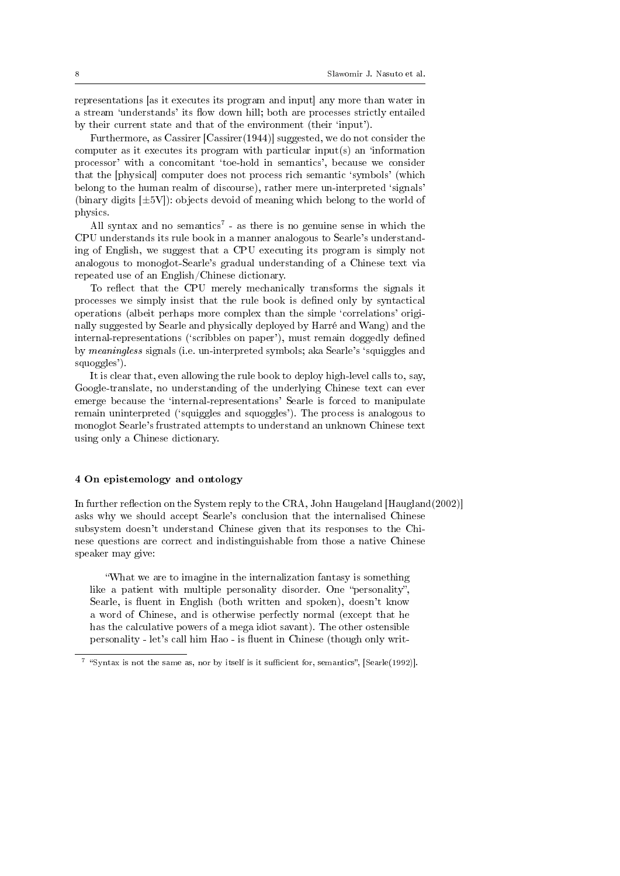representations [as it executes its program and input] any more than water in a stream 'understands' its flow down hill; both are processes strictly entailed by their current state and that of the environment (their 'input').

Furthermore, as Cassirer [Cassirer(1944)] suggested, we do not consider the computer as it executes its program with particular input(s) an `information processor' with a concomitant `toe-hold in semantics', because we consider that the [physical] computer does not process rich semantic 'symbols' (which belong to the human realm of discourse), rather mere un-interpreted 'signals' (binary digits  $[\pm 5V]$ ): objects devoid of meaning which belong to the world of physics.

All syntax and no semantics<sup>7</sup> - as there is no genuine sense in which the CPU understands its rule book in a manner analogous to Searle's understanding of English, we suggest that a CPU executing its program is simply not analogous to monoglot-Searle's gradual understanding of a Chinese text via repeated use of an English/Chinese dictionary.

To reflect that the CPU merely mechanically transforms the signals it processes we simply insist that the rule book is dened only by syntactical operations (albeit perhaps more complex than the simple `correlations' originally suggested by Searle and physically deployed by Harré and Wang) and the internal-representations ('scribbles on paper'), must remain doggedly defined by *meaningless* signals (i.e. un-interpreted symbols; aka Searle's 'squiggles and squoggles').

It is clear that, even allowing the rule book to deploy high-level calls to, say, Google-translate, no understanding of the underlying Chinese text can ever emerge because the 'internal-representations' Searle is forced to manipulate remain uninterpreted (`squiggles and squoggles'). The process is analogous to monoglot Searle's frustrated attempts to understand an unknown Chinese text using only a Chinese dictionary.

# 4 On epistemology and ontology

In further reflection on the System reply to the CRA, John Haugeland [Haugland(2002)] asks why we should accept Searle's conclusion that the internalised Chinese subsystem doesn't understand Chinese given that its responses to the Chinese questions are correct and indistinguishable from those a native Chinese speaker may give:

What we are to imagine in the internalization fantasy is something like a patient with multiple personality disorder. One "personality", Searle, is fluent in English (both written and spoken), doesn't know a word of Chinese, and is otherwise perfectly normal (except that he has the calculative powers of a mega idiot savant). The other ostensible personality - let's call him Hao - is fluent in Chinese (though only writ-

<sup>&</sup>lt;sup>7</sup> "Syntax is not the same as, nor by itself is it sufficient for, semantics", [Searle(1992)].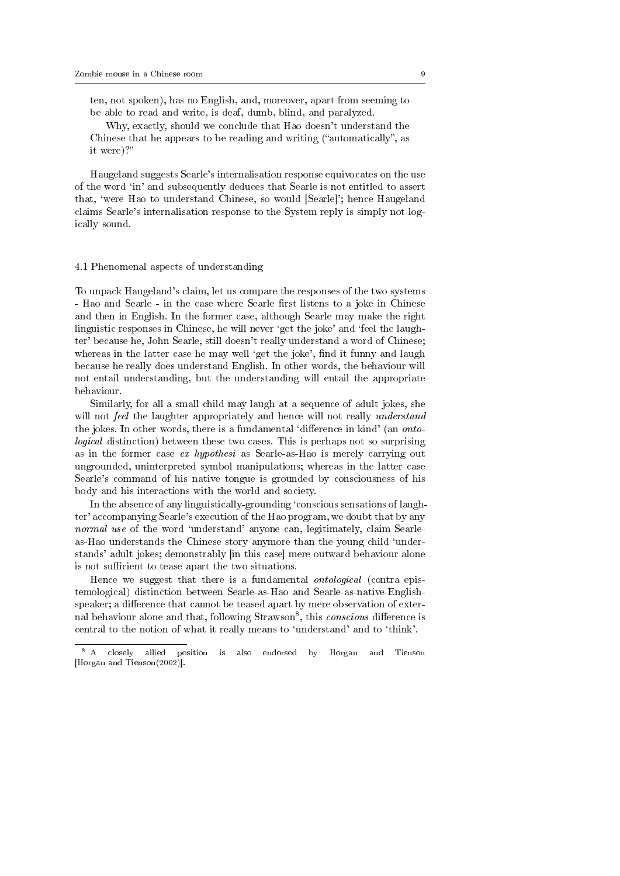ten, not spoken), has no English, and, moreover, apart from seeming to be able to read and write, is deaf, dumb, blind, and paralyzed.

Why, exactly, should we conclude that Hao doesn't understand the Chinese that he appears to be reading and writing ("automatically", as it were)?

Haugeland suggests Searle's internalisation response equivocates on the use of the word `in' and subsequently deduces that Searle is not entitled to assert that, `were Hao to understand Chinese, so would [Searle]'; hence Haugeland claims Searle's internalisation response to the System reply is simply not logically sound.

## 4.1 Phenomenal aspects of understanding

To unpack Haugeland's claim, let us compare the responses of the two systems - Hao and Searle - in the case where Searle first listens to a joke in Chinese and then in English. In the former case, although Searle may make the right linguistic responses in Chinese, he will never 'get the joke' and 'feel the laughter' because he, John Searle, still doesn't really understand a word of Chinese; whereas in the latter case he may well 'get the joke', find it funny and laugh because he really does understand English. In other words, the behaviour will not entail understanding, but the understanding will entail the appropriate behaviour.

Similarly, for all a small child may laugh at a sequence of adult jokes, she will not feel the laughter appropriately and hence will not really *understand* the jokes. In other words, there is a fundamental 'difference in kind' (an *onto*logical distinction) between these two cases. This is perhaps not so surprising as in the former case ex hypothesi as Searle-as-Hao is merely carrying out ungrounded, uninterpreted symbol manipulations; whereas in the latter case Searle's command of his native tongue is grounded by consciousness of his body and his interactions with the world and society.

In the absence of any linguistically-grounding 'conscious sensations of laughter' accompanying Searle's execution of the Hao program, we doubt that by any normal use of the word 'understand' anyone can, legitimately, claim Searleas-Hao understands the Chinese story anymore than the young child `understands' adult jokes; demonstrably [in this case] mere outward behaviour alone is not sufficient to tease apart the two situations.

Hence we suggest that there is a fundamental ontological (contra epistemological) distinction between Searle-as-Hao and Searle-as-native-Englishspeaker; a difference that cannot be teased apart by mere observation of external behaviour alone and that, following  $S$ trawson<sup>8</sup>, this *conscious* difference is central to the notion of what it really means to `understand' and to `think'.

<sup>8</sup> A closely allied position is also endorsed by Horgan and Tienson [Horgan and Tienson(2002)].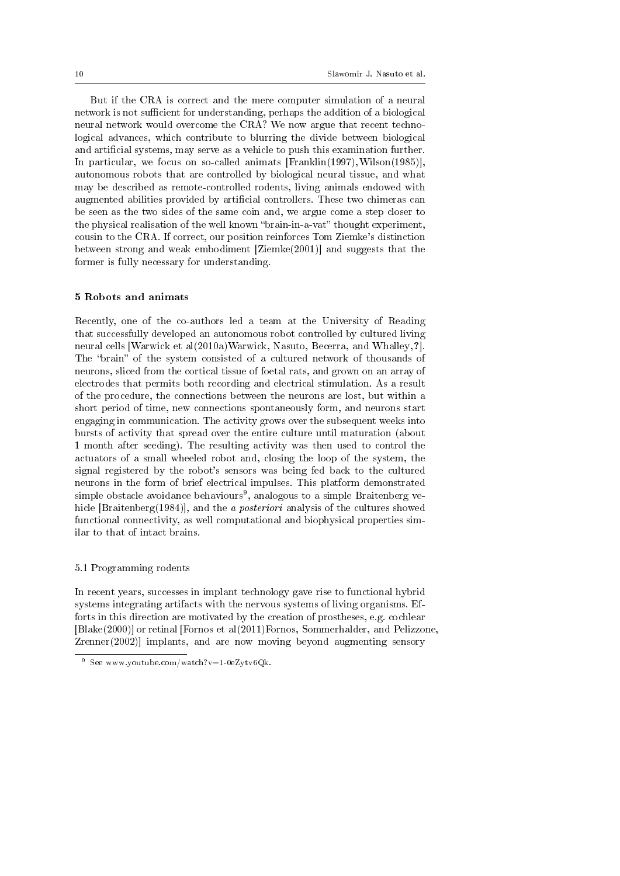But if the CRA is correct and the mere computer simulation of a neural network is not sufficient for understanding, perhaps the addition of a biological neural network would overcome the CRA? We now argue that recent technological advances, which contribute to blurring the divide between biological and artificial systems, may serve as a vehicle to push this examination further. In particular, we focus on so-called animats [Franklin(1997), Wilson(1985)], autonomous robots that are controlled by biological neural tissue, and what may be described as remote-controlled rodents, living animals endowed with augmented abilities provided by artificial controllers. These two chimeras can be seen as the two sides of the same coin and, we argue come a step closer to the physical realisation of the well known "brain-in-a-vat" thought experiment, cousin to the CRA. If correct, our position reinforces Tom Ziemke's distinction between strong and weak embodiment [Ziemke(2001)] and suggests that the former is fully necessary for understanding.

# 5 Robots and animats

Recently, one of the co-authors led a team at the University of Reading that successfully developed an autonomous robot controlled by cultured living neural cells [Warwick et al(2010a)Warwick, Nasuto, Becerra, and Whalley,?]. The "brain" of the system consisted of a cultured network of thousands of neurons, sliced from the cortical tissue of foetal rats, and grown on an array of electrodes that permits both recording and electrical stimulation. As a result of the procedure, the connections between the neurons are lost, but within a short period of time, new connections spontaneously form, and neurons start engaging in communication. The activity grows over the subsequent weeks into bursts of activity that spread over the entire culture until maturation (about 1 month after seeding). The resulting activity was then used to control the actuators of a small wheeled robot and, closing the loop of the system, the signal registered by the robot's sensors was being fed back to the cultured neurons in the form of brief electrical impulses. This platform demonstrated simple obstacle avoidance behaviours<sup>9</sup>, analogous to a simple Braitenberg vehicle [Braitenberg(1984)], and the a *posteriori* analysis of the cultures showed functional connectivity, as well computational and biophysical properties similar to that of intact brains.

## 5.1 Programming rodents

In recent years, successes in implant technology gave rise to functional hybrid systems integrating artifacts with the nervous systems of living organisms. Efforts in this direction are motivated by the creation of prostheses, e.g. cochlear [Blake(2000)] or retinal [Fornos et al(2011)Fornos, Sommerhalder, and Pelizzone, Zrenner(2002)] implants, and are now moving beyond augmenting sensory

<sup>&</sup>lt;sup>9</sup> See www.youtube.com/watch?v=1-0eZytv6Qk.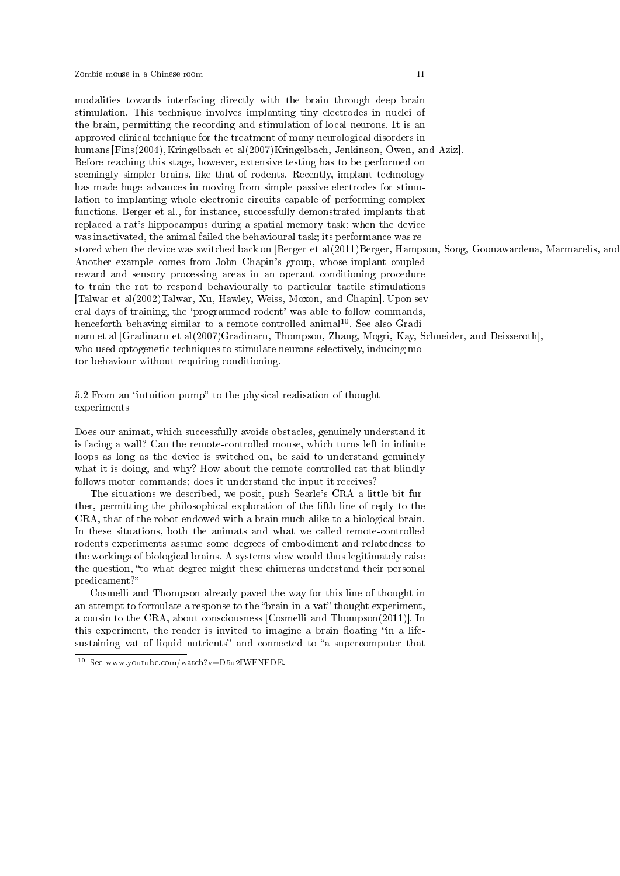modalities towards interfacing directly with the brain through deep brain stimulation. This technique involves implanting tiny electrodes in nuclei of the brain, permitting the recording and stimulation of local neurons. It is an approved clinical technique for the treatment of many neurological disorders in humans [Fins(2004), Kringelbach et al(2007) Kringelbach, Jenkinson, Owen, and Aziz]. Before reaching this stage, however, extensive testing has to be performed on seemingly simpler brains, like that of rodents. Recently, implant technology has made huge advances in moving from simple passive electrodes for stimulation to implanting whole electronic circuits capable of performing complex functions. Berger et al., for instance, successfully demonstrated implants that replaced a rat's hippocampus during a spatial memory task: when the device was inactivated, the animal failed the behavioural task; its performance was restored when the device was switched back on [Berger et al(2011)Berger, Hampson, Song, Goonawardena, Marmarelis, and Another example comes from John Chapin's group, whose implant coupled reward and sensory processing areas in an operant conditioning procedure to train the rat to respond behaviourally to particular tactile stimulations [Talwar et al(2002)Talwar, Xu, Hawley, Weiss, Moxon, and Chapin]. Upon several days of training, the `programmed rodent' was able to follow commands, henceforth behaving similar to a remote-controlled animal<sup>10</sup>. See also Gradinaru et al [Gradinaru et al(2007)Gradinaru, Thompson, Zhang, Mogri, Kay, Schneider, and Deisseroth], who used optogenetic techniques to stimulate neurons selectively, inducing motor behaviour without requiring conditioning.

 $5.2$  From an "intuition pump" to the physical realisation of thought experiments

Does our animat, which successfully avoids obstacles, genuinely understand it is facing a wall? Can the remote-controlled mouse, which turns left in infinite loops as long as the device is switched on, be said to understand genuinely what it is doing, and why? How about the remote-controlled rat that blindly follows motor commands; does it understand the input it receives?

The situations we described, we posit, push Searle's CRA a little bit further, permitting the philosophical exploration of the fifth line of reply to the CRA, that of the robot endowed with a brain much alike to a biological brain. In these situations, both the animats and what we called remote-controlled rodents experiments assume some degrees of embodiment and relatedness to the workings of biological brains. A systems view would thus legitimately raise the question, "to what degree might these chimeras understand their personal predicament?

Cosmelli and Thompson already paved the way for this line of thought in an attempt to formulate a response to the "brain-in-a-vat" thought experiment, a cousin to the CRA, about consciousness [Cosmelli and Thompson(2011)]. In this experiment, the reader is invited to imagine a brain floating "in a lifesustaining vat of liquid nutrients" and connected to "a supercomputer that

 $10$  See www.youtube.com/watch?v=D5u2IWFNFDE.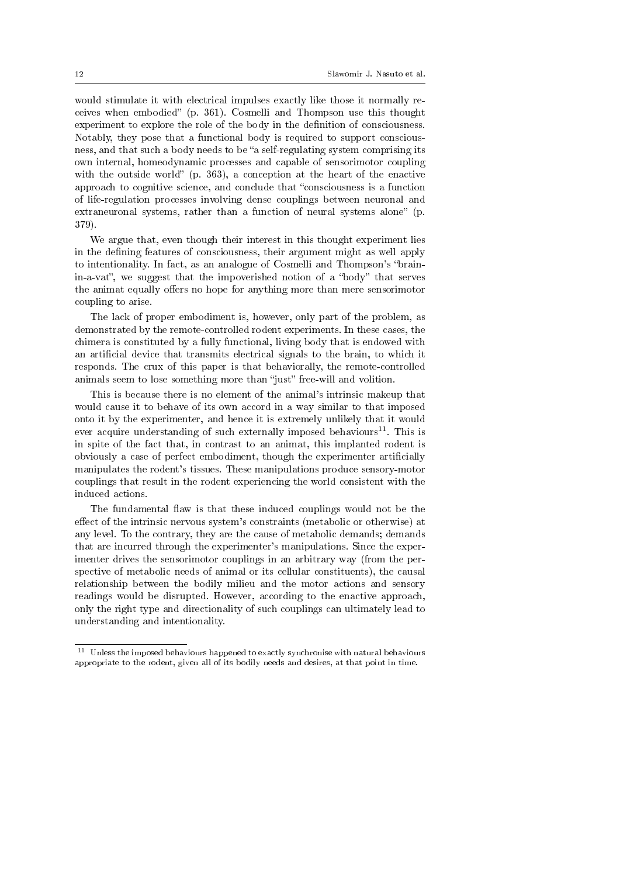would stimulate it with electrical impulses exactly like those it normally receives when embodied" (p. 361). Cosmelli and Thompson use this thought experiment to explore the role of the body in the definition of consciousness. Notably, they pose that a functional body is required to support consciousness, and that such a body needs to be "a self-regulating system comprising its own internal, homeodynamic processes and capable of sensorimotor coupling with the outside world"  $(p. 363)$ , a conception at the heart of the enactive approach to cognitive science, and conclude that "consciousness is a function of life-regulation processes involving dense couplings between neuronal and extraneuronal systems, rather than a function of neural systems alone"  $(p.$ 379).

We argue that, even though their interest in this thought experiment lies in the defining features of consciousness, their argument might as well apply to intentionality. In fact, as an analogue of Cosmelli and Thompson's "brain $in-a-vat$ , we suggest that the impoverished notion of a "body" that serves the animat equally offers no hope for anything more than mere sensorimotor coupling to arise.

The lack of proper embodiment is, however, only part of the problem, as demonstrated by the remote-controlled rodent experiments. In these cases, the chimera is constituted by a fully functional, living body that is endowed with an artificial device that transmits electrical signals to the brain, to which it responds. The crux of this paper is that behaviorally, the remote-controlled animals seem to lose something more than "just" free-will and volition.

This is because there is no element of the animal's intrinsic makeup that would cause it to behave of its own accord in a way similar to that imposed onto it by the experimenter, and hence it is extremely unlikely that it would ever acquire understanding of such externally imposed behaviours<sup>11</sup>. This is in spite of the fact that, in contrast to an animat, this implanted rodent is obviously a case of perfect embodiment, though the experimenter articially manipulates the rodent's tissues. These manipulations produce sensory-motor couplings that result in the rodent experiencing the world consistent with the induced actions.

The fundamental flaw is that these induced couplings would not be the effect of the intrinsic nervous system's constraints (metabolic or otherwise) at any level. To the contrary, they are the cause of metabolic demands; demands that are incurred through the experimenter's manipulations. Since the experimenter drives the sensorimotor couplings in an arbitrary way (from the perspective of metabolic needs of animal or its cellular constituents), the causal relationship between the bodily milieu and the motor actions and sensory readings would be disrupted. However, according to the enactive approach, only the right type and directionality of such couplings can ultimately lead to understanding and intentionality.

 $11$  Unless the imposed behaviours happened to exactly synchronise with natural behaviours appropriate to the rodent, given all of its bodily needs and desires, at that point in time.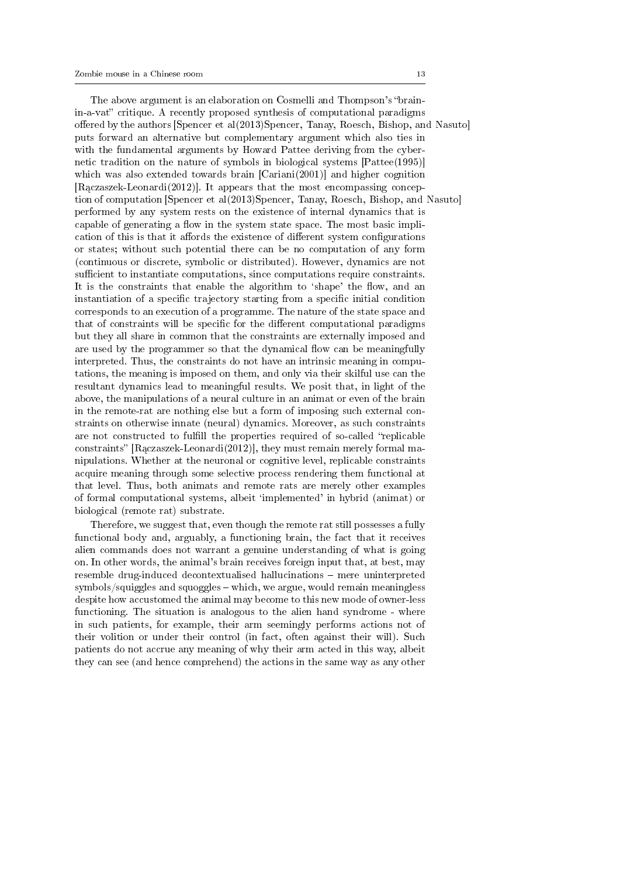The above argument is an elaboration on Cosmelli and Thompson's "brainin-a-vat" critique. A recently proposed synthesis of computational paradigms offered by the authors [Spencer et al(2013)Spencer, Tanay, Roesch, Bishop, and Nasuto] puts forward an alternative but complementary argument which also ties in with the fundamental arguments by Howard Pattee deriving from the cybernetic tradition on the nature of symbols in biological systems [Pattee(1995)] which was also extended towards brain [Cariani(2001)] and higher cognition  $[Raczaszek-Leonardi(2012)]$ . It appears that the most encompassing conception of computation [Spencer et al(2013)Spencer, Tanay, Roesch, Bishop, and Nasuto] performed by any system rests on the existence of internal dynamics that is capable of generating a flow in the system state space. The most basic implication of this is that it affords the existence of different system configurations or states; without such potential there can be no computation of any form (continuous or discrete, symbolic or distributed). However, dynamics are not sufficient to instantiate computations, since computations require constraints. It is the constraints that enable the algorithm to 'shape' the flow, and an instantiation of a specific trajectory starting from a specific initial condition corresponds to an execution of a programme. The nature of the state space and that of constraints will be specific for the different computational paradigms but they all share in common that the constraints are externally imposed and are used by the programmer so that the dynamical flow can be meaningfully interpreted. Thus, the constraints do not have an intrinsic meaning in computations, the meaning is imposed on them, and only via their skilful use can the resultant dynamics lead to meaningful results. We posit that, in light of the above, the manipulations of a neural culture in an animat or even of the brain in the remote-rat are nothing else but a form of imposing such external constraints on otherwise innate (neural) dynamics. Moreover, as such constraints are not constructed to fulfill the properties required of so-called "replicable constraints"  $[Raczaszek-Leonardi(2012)],$  they must remain merely formal manipulations. Whether at the neuronal or cognitive level, replicable constraints acquire meaning through some selective process rendering them functional at that level. Thus, both animats and remote rats are merely other examples of formal computational systems, albeit `implemented' in hybrid (animat) or biological (remote rat) substrate.

Therefore, we suggest that, even though the remote rat still possesses a fully functional body and, arguably, a functioning brain, the fact that it receives alien commands does not warrant a genuine understanding of what is going on. In other words, the animal's brain receives foreign input that, at best, may resemble drug-induced decontextualised hallucinations mere uninterpreted  $symbols/squiggles$  and  $squoggles$  – which, we argue, would remain meaningless despite how accustomed the animal may become to this new mode of owner-less functioning. The situation is analogous to the alien hand syndrome - where in such patients, for example, their arm seemingly performs actions not of their volition or under their control (in fact, often against their will). Such patients do not accrue any meaning of why their arm acted in this way, albeit they can see (and hence comprehend) the actions in the same way as any other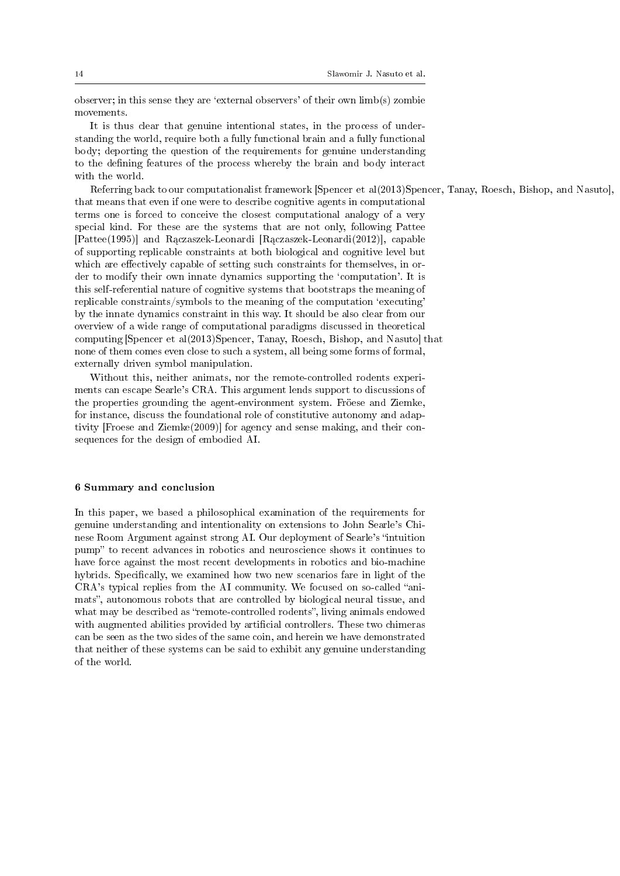observer; in this sense they are `external observers' of their own limb(s) zombie movements.

It is thus clear that genuine intentional states, in the process of understanding the world, require both a fully functional brain and a fully functional body; deporting the question of the requirements for genuine understanding to the defining features of the process whereby the brain and body interact with the world.

Referring back to our computationalist framework [Spencer et al(2013)Spencer, Tanay, Roesch, Bishop, and Nasuto], that means that even if one were to describe cognitive agents in computational terms one is forced to conceive the closest computational analogy of a very special kind. For these are the systems that are not only, following Pattee [Pattee(1995)] and Rączaszek-Leonardi [Rączaszek-Leonardi(2012)], capable of supporting replicable constraints at both biological and cognitive level but which are effectively capable of setting such constraints for themselves, in order to modify their own innate dynamics supporting the `computation'. It is this self-referential nature of cognitive systems that bootstraps the meaning of replicable constraints/symbols to the meaning of the computation `executing' by the innate dynamics constraint in this way. It should be also clear from our overview of a wide range of computational paradigms discussed in theoretical computing [Spencer et al(2013)Spencer, Tanay, Roesch, Bishop, and Nasuto] that none of them comes even close to such a system, all being some forms of formal, externally driven symbol manipulation.

Without this, neither animats, nor the remote-controlled rodents experiments can escape Searle's CRA. This argument lends support to discussions of the properties grounding the agent-environment system. Fröese and Ziemke, for instance, discuss the foundational role of constitutive autonomy and adaptivity [Froese and Ziemke(2009)] for agency and sense making, and their consequences for the design of embodied AI.

## 6 Summary and conclusion

In this paper, we based a philosophical examination of the requirements for genuine understanding and intentionality on extensions to John Searle's Chinese Room Argument against strong AI. Our deployment of Searle's "intuition pump" to recent advances in robotics and neuroscience shows it continues to have force against the most recent developments in robotics and bio-machine hybrids. Specifically, we examined how two new scenarios fare in light of the  $CRA$ 's typical replies from the AI community. We focused on so-called "animats", autonomous robots that are controlled by biological neural tissue, and what may be described as "remote-controlled rodents", living animals endowed with augmented abilities provided by artificial controllers. These two chimeras can be seen as the two sides of the same coin, and herein we have demonstrated that neither of these systems can be said to exhibit any genuine understanding of the world.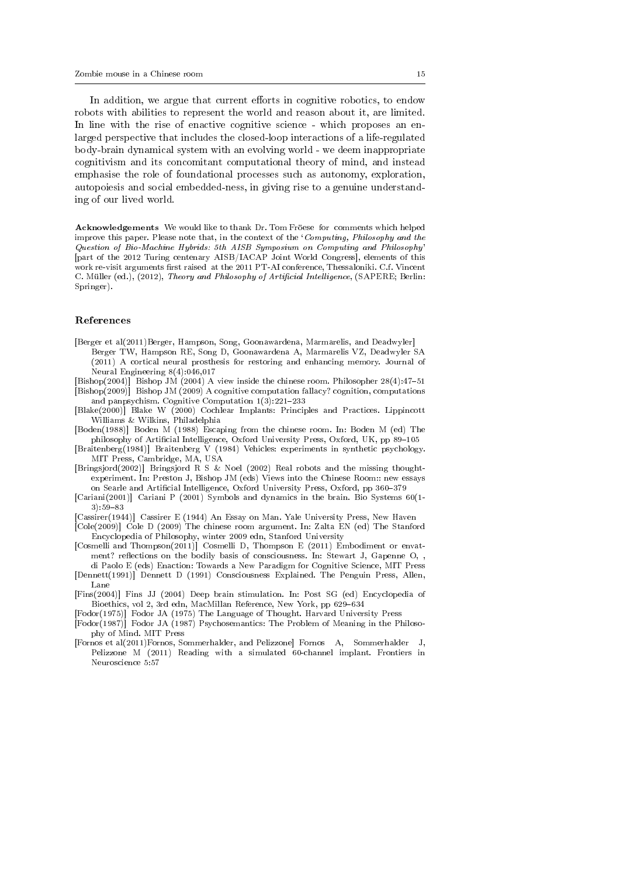In addition, we argue that current efforts in cognitive robotics, to endow robots with abilities to represent the world and reason about it, are limited. In line with the rise of enactive cognitive science - which proposes an enlarged perspective that includes the closed-loop interactions of a life-regulated body-brain dynamical system with an evolving world - we deem inappropriate cognitivism and its concomitant computational theory of mind, and instead emphasise the role of foundational processes such as autonomy, exploration, autopoiesis and social embedded-ness, in giving rise to a genuine understanding of our lived world.

Acknowledgements We would like to thank Dr. Tom Fröese for comments which helped improve this paper. Please note that, in the context of the 'Computing, Philosophy and the Question of Bio-Machine Hybrids: 5th AISB Symposium on Computing and Philosophy' [part of the 2012 Turing centenary AISB/IACAP Joint World Congress], elements of this work re-visit arguments first raised at the 2011 PT-AI conference, Thessaloniki. C.f. Vincent C. Müller (ed.), (2012), Theory and Philosophy of Artificial Intelligence, (SAPERE; Berlin: Springer).

#### References

- [Berger et al(2011)Berger, Hampson, Song, Goonawardena, Marmarelis, and Deadwyler] Berger TW, Hampson RE, Song D, Goonawardena A, Marmarelis VZ, Deadwyler SA (2011) A cortical neural prosthesis for restoring and enhancing memory. Journal of Neural Engineering 8(4):046,017
- [Bishop(2004)] Bishop JM (2004) A view inside the chinese room. Philosopher 28(4):47-51 [Bishop(2009)] Bishop JM (2009) A cognitive computation fallacy? cognition, computations and panpsychism. Cognitive Computation  $1(3):221-233$
- [Blake(2000)] Blake W (2000) Cochlear Implants: Principles and Practices. Lippincott Williams & Wilkins, Philadelphia
- [Boden(1988)] Boden M (1988) Escaping from the chinese room. In: Boden M (ed) The philosophy of Artificial Intelligence, Oxford University Press, Oxford, UK, pp 89-105
- [Braitenberg(1984)] Braitenberg V (1984) Vehicles: experiments in synthetic psychology. MIT Press, Cambridge, MA, USA
- [Bringsjord(2002)] Bringsjord R S & Noel (2002) Real robots and the missing thoughtexperiment. In: Preston J, Bishop JM (eds) Views into the Chinese Room:: new essays on Searle and Artificial Intelligence, Oxford University Press, Oxford, pp 360-379
- [Cariani(2001)] Cariani P (2001) Symbols and dynamics in the brain. Bio Systems 60(1-  $3)$ : 59-83

[Cassirer(1944)] Cassirer E (1944) An Essay on Man. Yale University Press, New Haven

- [Cole(2009)] Cole D (2009) The chinese room argument. In: Zalta EN (ed) The Stanford Encyclopedia of Philosophy, winter 2009 edn, Stanford University
- [Cosmelli and Thompson(2011)] Cosmelli D, Thompson E (2011) Embodiment or envatment? reflections on the bodily basis of consciousness. In: Stewart J, Gapenne O, ,
- di Paolo E (eds) Enaction: Towards a New Paradigm for Cognitive Science, MIT Press [Dennett(1991)] Dennett D (1991) Consciousness Explained. The Penguin Press, Allen, Lane
- [Fins(2004)] Fins JJ (2004) Deep brain stimulation. In: Post SG (ed) Encyclopedia of Bioethics, vol 2, 3rd edn, MacMillan Reference, New York, pp 629-634
- [Fodor(1975)] Fodor JA (1975) The Language of Thought. Harvard University Press
- [Fodor(1987)] Fodor JA (1987) Psychosemantics: The Problem of Meaning in the Philosophy of Mind. MIT Press
- [Fornos et al(2011)Fornos, Sommerhalder, and Pelizzone] Fornos A, Sommerhalder J, Pelizzone M (2011) Reading with a simulated 60-channel implant. Frontiers in Neuroscience 5:57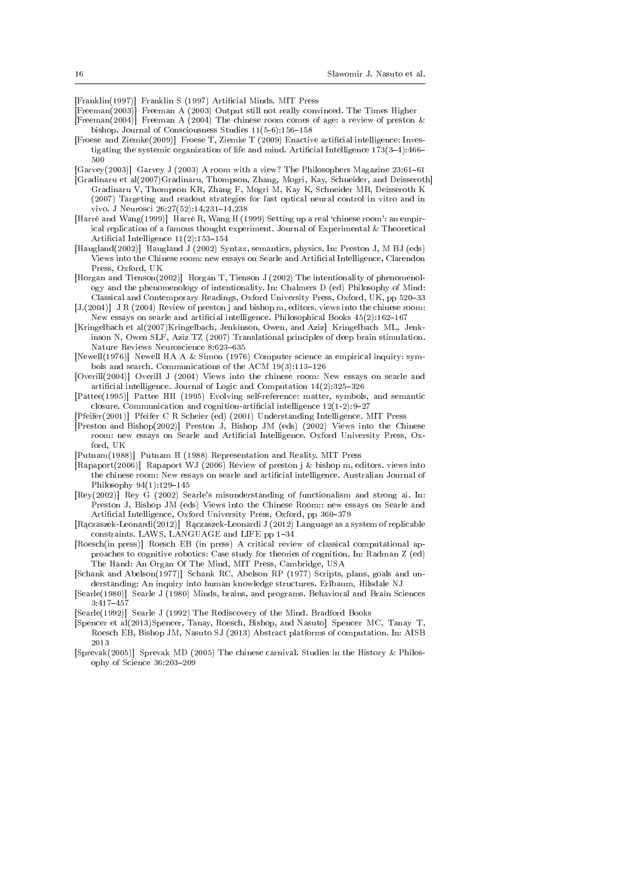[Franklin(1997)] Franklin S (1997) Articial Minds. MIT Press

[Freeman(2003)] Freeman A (2003) Output still not really convinced. The Times Higher

- [Freeman(2004)] Freeman A (2004) The chinese room comes of age: a review of preston & bishop. Journal of Consciousness Studies  $11(5-6):156-158$
- [Froese and Ziemke(2009)] Froese T, Ziemke T (2009) Enactive articial intelligence: Investigating the systemic organization of life and mind. Artificial Intelligence  $173(3-4)$ :466– 500

 $[Garvey(2003)]$  Garvey J (2003) A room with a view? The Philosophers Magazine  $23:61-61$ 

- [Gradinaru et al(2007)Gradinaru, Thompson, Zhang, Mogri, Kay, Schneider, and Deisseroth] Gradinaru V, Thompson KR, Zhang F, Mogri M, Kay K, Schneider MB, Deisseroth K (2007) Targeting and readout strategies for fast optical neural control in vitro and in vivo. J Neurosci 26:27(52):14,231-14,238
- [Harré and Wang(1999)] Harré R, Wang H (1999) Setting up a real `chinese room': an empirical replication of a famous thought experiment. Journal of Experimental & Theoretical Artificial Intelligence  $11(2):153-154$
- [Haugland(2002)] Haugland J (2002) Syntax, semantics, physics. In: Preston J, M BJ (eds) Views into the Chinese room: new essays on Searle and Articial Intelligence, Clarendon Press, Oxford, UK
- [Horgan and Tienson(2002)] Horgan T, Tienson J (2002) The intentionality of phenomenology and the phenomenology of intentionality. In: Chalmers D (ed) Philosophy of Mind: Classical and Contemporary Readings, Oxford University Press, Oxford, UK, pp 520-33
- [J.(2004)] J R (2004) Review of preston j and bishop m, editors. views into the chinese room: New essays on searle and artificial intelligence. Philosophical Books  $45(2):162-167$
- [Kringelbach et al(2007)Kringelbach, Jenkinson, Owen, and Aziz] Kringelbach ML, Jenkinson N, Owen SLF, Aziz TZ (2007) Translational principles of deep brain stimulation. Nature Reviews Neuroscience 8:623-635
- [Newell(1976)] Newell HA A & Simon (1976) Computer science as empirical inquiry: symbols and search. Communications of the ACM  $19(3):113-126$
- [Overill(2004)] Overill J (2004) Views into the chinese room: New essays on searle and artificial intelligence. Journal of Logic and Computation  $14(2)$ :325-326
- [Pattee(1995)] Pattee HH (1995) Evolving self-reference: matter, symbols, and semantic closure. Communication and cognition-artificial intelligence  $12(1-2):9-27$
- [Pfeifer(2001)] Pfeifer C R Scheier (ed) (2001) Understanding Intelligence. MIT Press
- [Preston and Bishop(2002)] Preston J, Bishop JM (eds) (2002) Views into the Chinese room: new essays on Searle and Artificial Intelligence. Oxford University Press, Oxford, UK

[Putnam(1988)] Putnam H (1988) Representation and Reality. MIT Press

- [Rapaport(2006)] Rapaport WJ (2006) Review of preston j & bishop m, editors. views into the chinese room: New essays on searle and articial intelligence. Australian Journal of Philosophy  $94(1):129-145$
- [Rey(2002)] Rey G (2002) Searle's misunderstanding of functionalism and strong ai. In: Preston J, Bishop JM (eds) Views into the Chinese Room:: new essays on Searle and Artificial Intelligence, Oxford University Press, Oxford, pp 360-379
- [Rączaszek-Leonardi(2012)] Rączaszek-Leonardi J (2012) Language as a system of replicable constraints. LAWS, LANGUAGE and LIFE pp 1-34
- [Roesch(in press)] Roesch EB (in press) A critical review of classical computational approaches to cognitive robotics: Case study for theories of cognition. In: Radman Z (ed) The Hand: An Organ Of The Mind, MIT Press, Cambridge, USA
- [Schank and Abelson(1977)] Schank RC, Abelson RP (1977) Scripts, plans, goals and understanding: An inquiry into human knowledge structures. Erlbaum, Hilsdale NJ
- [Searle(1980)] Searle J (1980) Minds, brains, and programs. Behavioral and Brain Sciences 3:417457

[Searle(1992)] Searle J (1992) The Rediscovery of the Mind. Bradford Books

- [Spencer et al(2013)Spencer, Tanay, Roesch, Bishop, and Nasuto] Spencer MC, Tanay T, Roesch EB, Bishop JM, Nasuto SJ (2013) Abstract platforms of computation. In: AISB 2013
- [Sprevak(2005)] Sprevak MD (2005) The chinese carnival. Studies in the History & Philosophy of Science 36:203-209